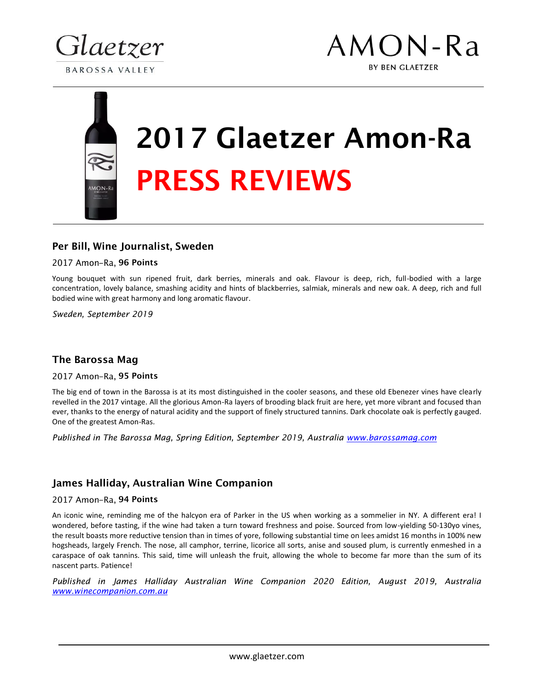



## 2017 Glaetzer Amon-Ra PRESS REVIEWS

## Per Bill, Wine Journalist, Sweden

### 2017 Amon-Ra, 96 Points

Young bouquet with sun ripened fruit, dark berries, minerals and oak. Flavour is deep, rich, full-bodied with a large concentration, lovely balance, smashing acidity and hints of blackberries, salmiak, minerals and new oak. A deep, rich and full bodied wine with great harmony and long aromatic flavour.

*Sweden, September 2019*

## The Barossa Mag

### 2017 Amon-Ra, 95 Points

The big end of town in the Barossa is at its most distinguished in the cooler seasons, and these old Ebenezer vines have clearly revelled in the 2017 vintage. All the glorious Amon-Ra layers of brooding black fruit are here, yet more vibrant and focused than ever, thanks to the energy of natural acidity and the support of finely structured tannins. Dark chocolate oak is perfectly gauged. One of the greatest Amon-Ras.

*Published in The Barossa Mag, Spring Edition, September 2019, Australia www.barossamag.com*

## James Halliday, Australian Wine Companion

### 2017 Amon-Ra, 94 Points

An iconic wine, reminding me of the halcyon era of Parker in the US when working as a sommelier in NY. A different era! I wondered, before tasting, if the wine had taken a turn toward freshness and poise. Sourced from low-yielding 50-130yo vines, the result boasts more reductive tension than in times of yore, following substantial time on lees amidst 16 months in 100% new hogsheads, largely French. The nose, all camphor, terrine, licorice all sorts, anise and soused plum, is currently enmeshed in a caraspace of oak tannins. This said, time will unleash the fruit, allowing the whole to become far more than the sum of its nascent parts. Patience!

*Published in James Halliday Australian Wine Companion 2020 Edition, August 2019, Australia www.winecompanion.com.au*